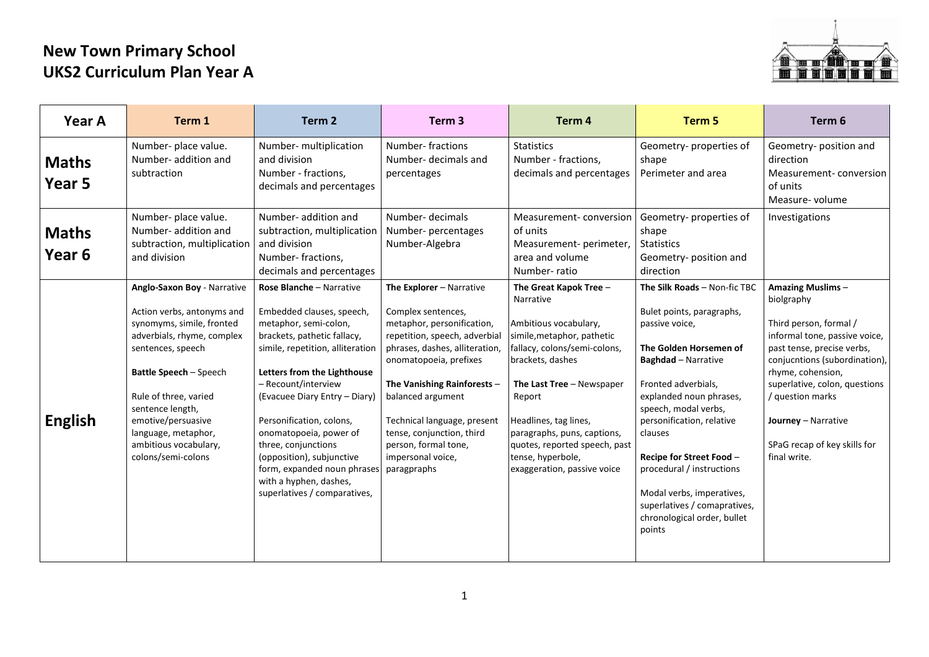## **New Town Primary School UKS2 Curriculum Plan Year A**



| Year A                            | Term 1                                                                                                                                                                                                                                                                                                       | Term <sub>2</sub>                                                                                                                                                                                                                                                                                                                                                                                                                           | Term <sub>3</sub>                                                                                                                                                                                                                                                                                                                                     | Term <sub>4</sub>                                                                                                                                                                                                                                                                                                                  | Term 5                                                                                                                                                                                                                                                                                                                                                                                                               | Term 6                                                                                                                                                                                                                                                                                                    |
|-----------------------------------|--------------------------------------------------------------------------------------------------------------------------------------------------------------------------------------------------------------------------------------------------------------------------------------------------------------|---------------------------------------------------------------------------------------------------------------------------------------------------------------------------------------------------------------------------------------------------------------------------------------------------------------------------------------------------------------------------------------------------------------------------------------------|-------------------------------------------------------------------------------------------------------------------------------------------------------------------------------------------------------------------------------------------------------------------------------------------------------------------------------------------------------|------------------------------------------------------------------------------------------------------------------------------------------------------------------------------------------------------------------------------------------------------------------------------------------------------------------------------------|----------------------------------------------------------------------------------------------------------------------------------------------------------------------------------------------------------------------------------------------------------------------------------------------------------------------------------------------------------------------------------------------------------------------|-----------------------------------------------------------------------------------------------------------------------------------------------------------------------------------------------------------------------------------------------------------------------------------------------------------|
| <b>Maths</b><br>Year 5            | Number- place value.<br>Number- addition and<br>subtraction                                                                                                                                                                                                                                                  | Number- multiplication<br>and division<br>Number - fractions,<br>decimals and percentages                                                                                                                                                                                                                                                                                                                                                   | Number-fractions<br>Number-decimals and<br>percentages                                                                                                                                                                                                                                                                                                | <b>Statistics</b><br>Number - fractions,<br>decimals and percentages                                                                                                                                                                                                                                                               | Geometry-properties of<br>shape<br>Perimeter and area                                                                                                                                                                                                                                                                                                                                                                | Geometry-position and<br>direction<br>Measurement-conversion<br>of units<br>Measure-volume                                                                                                                                                                                                                |
| <b>Maths</b><br>Year <sub>6</sub> | Number- place value.<br>Number- addition and<br>subtraction, multiplication<br>and division                                                                                                                                                                                                                  | Number- addition and<br>subtraction, multiplication<br>and division<br>Number-fractions,<br>decimals and percentages                                                                                                                                                                                                                                                                                                                        | Number- decimals<br>Number- percentages<br>Number-Algebra                                                                                                                                                                                                                                                                                             | Measurement-conversion<br>of units<br>Measurement- perimeter,<br>area and volume<br>Number-ratio                                                                                                                                                                                                                                   | Geometry-properties of<br>shape<br><b>Statistics</b><br>Geometry-position and<br>direction                                                                                                                                                                                                                                                                                                                           | Investigations                                                                                                                                                                                                                                                                                            |
| <b>English</b>                    | Anglo-Saxon Boy - Narrative<br>Action verbs, antonyms and<br>synomyms, simile, fronted<br>adverbials, rhyme, complex<br>sentences, speech<br>Battle Speech - Speech<br>Rule of three, varied<br>sentence length,<br>emotive/persuasive<br>language, metaphor,<br>ambitious vocabulary,<br>colons/semi-colons | Rose Blanche - Narrative<br>Embedded clauses, speech,<br>metaphor, semi-colon,<br>brackets, pathetic fallacy,<br>simile, repetition, alliteration<br>Letters from the Lighthouse<br>- Recount/interview<br>(Evacuee Diary Entry - Diary)<br>Personification, colons,<br>onomatopoeia, power of<br>three, conjunctions<br>(opposition), subjunctive<br>form, expanded noun phrases<br>with a hyphen, dashes,<br>superlatives / comparatives, | The Explorer - Narrative<br>Complex sentences,<br>metaphor, personification,<br>repetition, speech, adverbial<br>phrases, dashes, alliteration,<br>onomatopoeia, prefixes<br>The Vanishing Rainforests -<br>balanced argument<br>Technical language, present<br>tense, conjunction, third<br>person, formal tone,<br>impersonal voice,<br>paragpraphs | The Great Kapok Tree -<br>Narrative<br>Ambitious vocabulary,<br>simile, metaphor, pathetic<br>fallacy, colons/semi-colons,<br>brackets, dashes<br>The Last Tree - Newspaper<br>Report<br>Headlines, tag lines,<br>paragraphs, puns, captions,<br>quotes, reported speech, past<br>tense, hyperbole,<br>exaggeration, passive voice | The Silk Roads - Non-fic TBC<br>Bulet points, paragraphs,<br>passive voice,<br>The Golden Horsemen of<br><b>Baghdad</b> - Narrative<br>Fronted adverbials,<br>explanded noun phrases,<br>speech, modal verbs,<br>personification, relative<br>clauses<br>Recipe for Street Food -<br>procedural / instructions<br>Modal verbs, imperatives,<br>superlatives / comapratives,<br>chronological order, bullet<br>points | Amazing Muslims-<br>biolgraphy<br>Third person, formal /<br>informal tone, passive voice,<br>past tense, precise verbs,<br>conjucntions (subordination),<br>rhyme, cohension,<br>superlative, colon, questions<br>/ question marks<br>Journey - Narrative<br>SPaG recap of key skills for<br>final write. |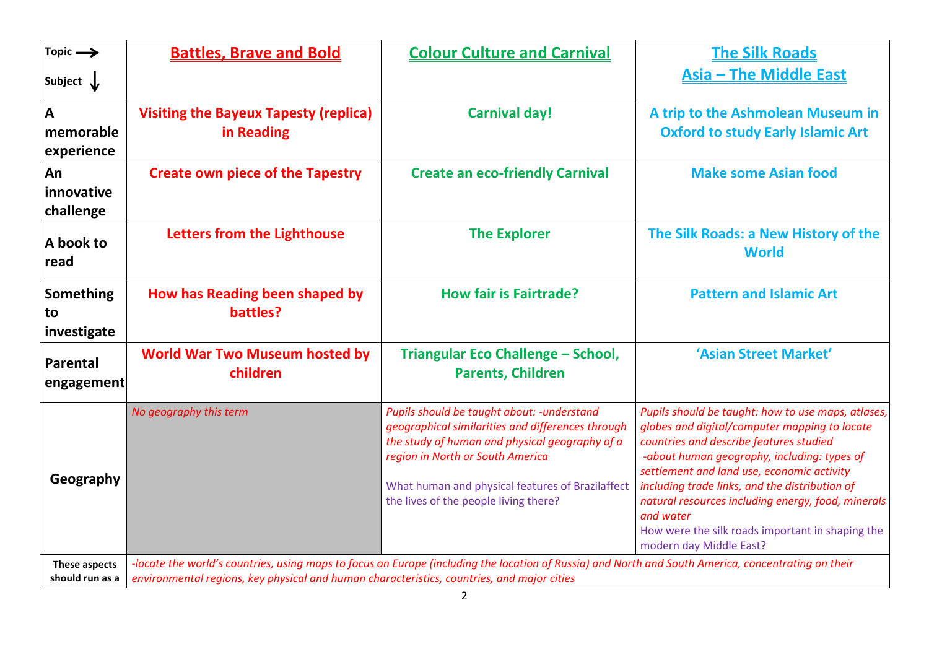| Topic $\rightarrow$                     | <b>Battles, Brave and Bold</b>                                                             | <b>Colour Culture and Carnival</b>                                                                                                                                                                                                                                                  | <b>The Silk Roads</b>                                                                                                                                                                                                                                                                                                                                                                                                                           |  |  |
|-----------------------------------------|--------------------------------------------------------------------------------------------|-------------------------------------------------------------------------------------------------------------------------------------------------------------------------------------------------------------------------------------------------------------------------------------|-------------------------------------------------------------------------------------------------------------------------------------------------------------------------------------------------------------------------------------------------------------------------------------------------------------------------------------------------------------------------------------------------------------------------------------------------|--|--|
| Subject $\downarrow$                    |                                                                                            |                                                                                                                                                                                                                                                                                     | <b>Asia - The Middle East</b>                                                                                                                                                                                                                                                                                                                                                                                                                   |  |  |
| $\mathbf{A}$<br>memorable<br>experience | <b>Visiting the Bayeux Tapesty (replica)</b><br>in Reading                                 | <b>Carnival day!</b>                                                                                                                                                                                                                                                                | A trip to the Ashmolean Museum in<br><b>Oxford to study Early Islamic Art</b>                                                                                                                                                                                                                                                                                                                                                                   |  |  |
| An<br>innovative<br>challenge           | <b>Create own piece of the Tapestry</b>                                                    | <b>Create an eco-friendly Carnival</b>                                                                                                                                                                                                                                              | <b>Make some Asian food</b>                                                                                                                                                                                                                                                                                                                                                                                                                     |  |  |
| A book to<br>read                       | Letters from the Lighthouse                                                                | <b>The Explorer</b>                                                                                                                                                                                                                                                                 | The Silk Roads: a New History of the<br><b>World</b>                                                                                                                                                                                                                                                                                                                                                                                            |  |  |
| Something<br>to<br>investigate          | How has Reading been shaped by<br>battles?                                                 | <b>How fair is Fairtrade?</b>                                                                                                                                                                                                                                                       | <b>Pattern and Islamic Art</b>                                                                                                                                                                                                                                                                                                                                                                                                                  |  |  |
| Parental<br>engagement                  | <b>World War Two Museum hosted by</b><br>children                                          | Triangular Eco Challenge - School,<br><b>Parents, Children</b>                                                                                                                                                                                                                      | 'Asian Street Market'                                                                                                                                                                                                                                                                                                                                                                                                                           |  |  |
| Geography                               | No geography this term                                                                     | Pupils should be taught about: - understand<br>geographical similarities and differences through<br>the study of human and physical geography of a<br>region in North or South America<br>What human and physical features of Brazilaffect<br>the lives of the people living there? | Pupils should be taught: how to use maps, atlases,<br>globes and digital/computer mapping to locate<br>countries and describe features studied<br>-about human geography, including: types of<br>settlement and land use, economic activity<br>including trade links, and the distribution of<br>natural resources including energy, food, minerals<br>and water<br>How were the silk roads important in shaping the<br>modern day Middle East? |  |  |
| These aspects<br>should run as a        | environmental regions, key physical and human characteristics, countries, and major cities | -locate the world's countries, using maps to focus on Europe (including the location of Russia) and North and South America, concentrating on their                                                                                                                                 |                                                                                                                                                                                                                                                                                                                                                                                                                                                 |  |  |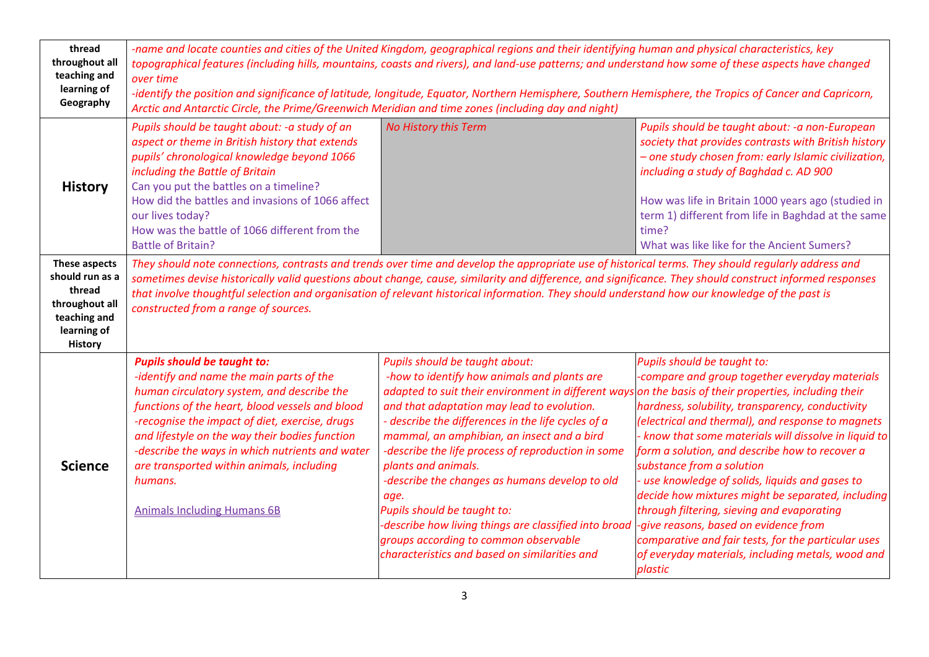| thread<br>throughout all<br>teaching and<br>learning of<br>Geography                                          | -name and locate counties and cities of the United Kingdom, geographical regions and their identifying human and physical characteristics, key<br>topographical features (including hills, mountains, coasts and rivers), and land-use patterns; and understand how some of these aspects have changed<br>over time<br>-identify the position and significance of latitude, longitude, Equator, Northern Hemisphere, Southern Hemisphere, the Tropics of Cancer and Capricorn,<br>Arctic and Antarctic Circle, the Prime/Greenwich Meridian and time zones (including day and night) |                                                                                                                                                                                                                                                                                                                                                                                                                                                                                                                                                                                                                 |                                                                                                                                                                                                                                                                                                                                                                                                                                                                                                                                                                                                                                                                                                           |  |  |  |  |
|---------------------------------------------------------------------------------------------------------------|--------------------------------------------------------------------------------------------------------------------------------------------------------------------------------------------------------------------------------------------------------------------------------------------------------------------------------------------------------------------------------------------------------------------------------------------------------------------------------------------------------------------------------------------------------------------------------------|-----------------------------------------------------------------------------------------------------------------------------------------------------------------------------------------------------------------------------------------------------------------------------------------------------------------------------------------------------------------------------------------------------------------------------------------------------------------------------------------------------------------------------------------------------------------------------------------------------------------|-----------------------------------------------------------------------------------------------------------------------------------------------------------------------------------------------------------------------------------------------------------------------------------------------------------------------------------------------------------------------------------------------------------------------------------------------------------------------------------------------------------------------------------------------------------------------------------------------------------------------------------------------------------------------------------------------------------|--|--|--|--|
| <b>History</b>                                                                                                | Pupils should be taught about: - a study of an<br>aspect or theme in British history that extends<br>pupils' chronological knowledge beyond 1066<br>including the Battle of Britain<br>Can you put the battles on a timeline?<br>How did the battles and invasions of 1066 affect<br>our lives today?<br>How was the battle of 1066 different from the<br><b>Battle of Britain?</b>                                                                                                                                                                                                  | <b>No History this Term</b>                                                                                                                                                                                                                                                                                                                                                                                                                                                                                                                                                                                     | Pupils should be taught about: - a non-European<br>society that provides contrasts with British history<br>- one study chosen from: early Islamic civilization,<br>including a study of Baghdad c. AD 900<br>How was life in Britain 1000 years ago (studied in<br>term 1) different from life in Baghdad at the same<br>time?<br>What was like like for the Ancient Sumers?                                                                                                                                                                                                                                                                                                                              |  |  |  |  |
| These aspects<br>should run as a<br>thread<br>throughout all<br>teaching and<br>learning of<br><b>History</b> | They should note connections, contrasts and trends over time and develop the appropriate use of historical terms. They should regularly address and<br>sometimes devise historically valid questions about change, cause, similarity and difference, and significance. They should construct informed responses<br>that involve thoughtful selection and organisation of relevant historical information. They should understand how our knowledge of the past is<br>constructed from a range of sources.                                                                            |                                                                                                                                                                                                                                                                                                                                                                                                                                                                                                                                                                                                                 |                                                                                                                                                                                                                                                                                                                                                                                                                                                                                                                                                                                                                                                                                                           |  |  |  |  |
| <b>Science</b>                                                                                                | <b>Pupils should be taught to:</b><br>-identify and name the main parts of the<br>human circulatory system, and describe the<br>functions of the heart, blood vessels and blood<br>-recognise the impact of diet, exercise, drugs<br>and lifestyle on the way their bodies function<br>-describe the ways in which nutrients and water<br>are transported within animals, including<br>humans.<br><b>Animals Including Humans 6B</b>                                                                                                                                                 | Pupils should be taught about:<br>-how to identify how animals and plants are<br>adapted to suit their environment in different ways<br>and that adaptation may lead to evolution.<br>- describe the differences in the life cycles of a<br>mammal, an amphibian, an insect and a bird<br>-describe the life process of reproduction in some<br>plants and animals.<br>-describe the changes as humans develop to old<br>age.<br>Pupils should be taught to:<br>-describe how living things are classified into broad<br>groups according to common observable<br>characteristics and based on similarities and | Pupils should be taught to:<br>-compare and group together everyday materials<br>on the basis of their properties, including their<br>hardness, solubility, transparency, conductivity<br>(electrical and thermal), and response to magnets<br>- know that some materials will dissolve in liquid to<br>form a solution, and describe how to recover a<br>substance from a solution<br>- use knowledge of solids, liquids and gases to<br>decide how mixtures might be separated, including<br>through filtering, sieving and evaporating<br>-give reasons, based on evidence from<br>comparative and fair tests, for the particular uses<br>of everyday materials, including metals, wood and<br>plastic |  |  |  |  |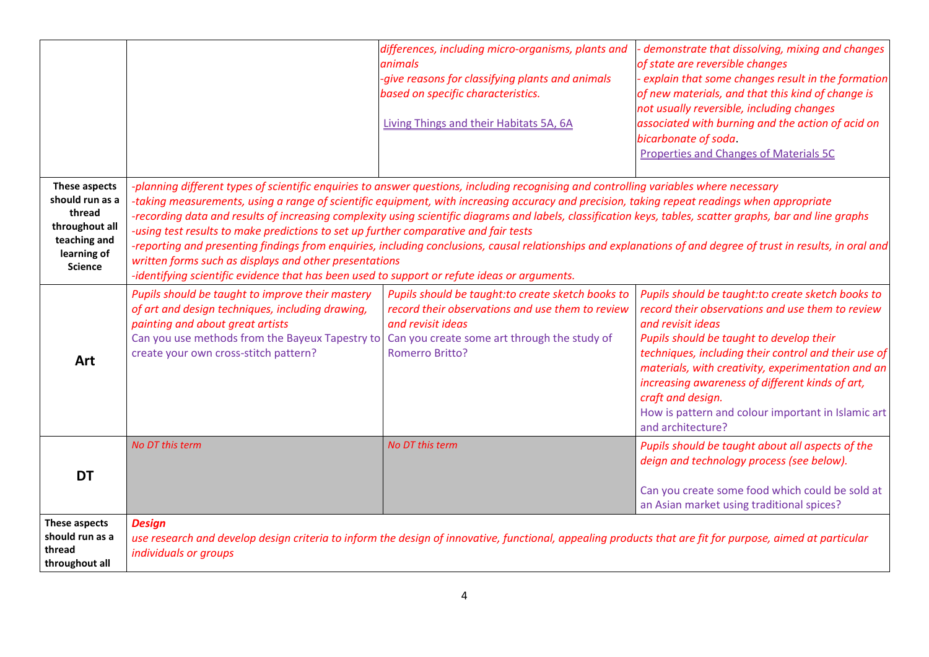|                                                                                                               |                                                                                                                                                                                                                                                                                                                                                                                                                                                                                                                                                                                                                                                                                                                                                                                                                                                                           | differences, including micro-organisms, plants and<br>animals<br>-give reasons for classifying plants and animals<br>based on specific characteristics.<br>Living Things and their Habitats 5A, 6A    | demonstrate that dissolving, mixing and changes<br>of state are reversible changes<br>explain that some changes result in the formation<br>of new materials, and that this kind of change is<br>not usually reversible, including changes<br>associated with burning and the action of acid on<br>bicarbonate of soda.<br><b>Properties and Changes of Materials 5C</b>                                                                  |  |  |  |  |
|---------------------------------------------------------------------------------------------------------------|---------------------------------------------------------------------------------------------------------------------------------------------------------------------------------------------------------------------------------------------------------------------------------------------------------------------------------------------------------------------------------------------------------------------------------------------------------------------------------------------------------------------------------------------------------------------------------------------------------------------------------------------------------------------------------------------------------------------------------------------------------------------------------------------------------------------------------------------------------------------------|-------------------------------------------------------------------------------------------------------------------------------------------------------------------------------------------------------|------------------------------------------------------------------------------------------------------------------------------------------------------------------------------------------------------------------------------------------------------------------------------------------------------------------------------------------------------------------------------------------------------------------------------------------|--|--|--|--|
| These aspects<br>should run as a<br>thread<br>throughout all<br>teaching and<br>learning of<br><b>Science</b> | -planning different types of scientific enquiries to answer questions, including recognising and controlling variables where necessary<br>-taking measurements, using a range of scientific equipment, with increasing accuracy and precision, taking repeat readings when appropriate<br>-recording data and results of increasing complexity using scientific diagrams and labels, classification keys, tables, scatter graphs, bar and line graphs<br>-using test results to make predictions to set up further comparative and fair tests<br>-reporting and presenting findings from enquiries, including conclusions, causal relationships and explanations of and degree of trust in results, in oral and<br>written forms such as displays and other presentations<br>-identifying scientific evidence that has been used to support or refute ideas or arguments. |                                                                                                                                                                                                       |                                                                                                                                                                                                                                                                                                                                                                                                                                          |  |  |  |  |
| Art                                                                                                           | Pupils should be taught to improve their mastery<br>of art and design techniques, including drawing,<br>painting and about great artists<br>Can you use methods from the Bayeux Tapestry to<br>create your own cross-stitch pattern?                                                                                                                                                                                                                                                                                                                                                                                                                                                                                                                                                                                                                                      | Pupils should be taught: to create sketch books to<br>record their observations and use them to review<br>and revisit ideas<br>Can you create some art through the study of<br><b>Romerro Britto?</b> | Pupils should be taught: to create sketch books to<br>record their observations and use them to review<br>and revisit ideas<br>Pupils should be taught to develop their<br>techniques, including their control and their use of<br>materials, with creativity, experimentation and an<br>increasing awareness of different kinds of art,<br>craft and design.<br>How is pattern and colour important in Islamic art<br>and architecture? |  |  |  |  |
| <b>DT</b>                                                                                                     | No DT this term                                                                                                                                                                                                                                                                                                                                                                                                                                                                                                                                                                                                                                                                                                                                                                                                                                                           | No DT this term                                                                                                                                                                                       | Pupils should be taught about all aspects of the<br>deign and technology process (see below).<br>Can you create some food which could be sold at<br>an Asian market using traditional spices?                                                                                                                                                                                                                                            |  |  |  |  |
| These aspects<br>should run as a<br>thread<br>throughout all                                                  | <b>Design</b><br>use research and develop design criteria to inform the design of innovative, functional, appealing products that are fit for purpose, aimed at particular<br>individuals or groups                                                                                                                                                                                                                                                                                                                                                                                                                                                                                                                                                                                                                                                                       |                                                                                                                                                                                                       |                                                                                                                                                                                                                                                                                                                                                                                                                                          |  |  |  |  |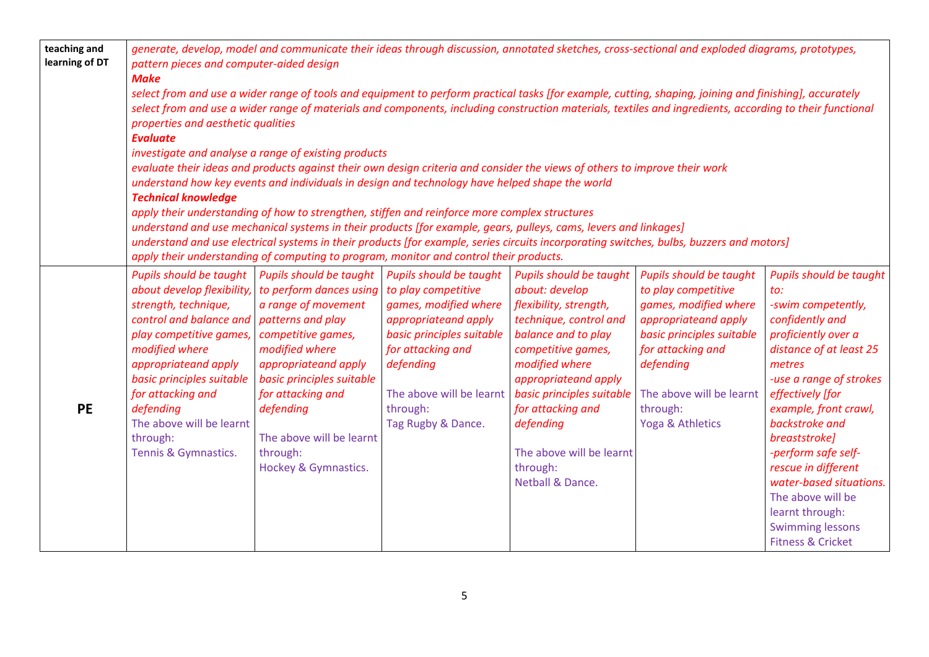| teaching and<br>learning of DT | generate, develop, model and communicate their ideas through discussion, annotated sketches, cross-sectional and exploded diagrams, prototypes,<br>pattern pieces and computer-aided design<br><b>Make</b>                                                                                                                                                                                                                                                                                                                                                                                                                                                                                                                                                                                                                                                                                                                                                                                                                                                                                                                                                   |                                                                                                                                                                                                                                                                          |                                                                                                                                                                                                                              |                                                                                                                                                                                                                                                                                                                 |                                                                                                                                                                                                                                   |                                                                                                                                                                                                                                                                                                                                                                                                                            |  |
|--------------------------------|--------------------------------------------------------------------------------------------------------------------------------------------------------------------------------------------------------------------------------------------------------------------------------------------------------------------------------------------------------------------------------------------------------------------------------------------------------------------------------------------------------------------------------------------------------------------------------------------------------------------------------------------------------------------------------------------------------------------------------------------------------------------------------------------------------------------------------------------------------------------------------------------------------------------------------------------------------------------------------------------------------------------------------------------------------------------------------------------------------------------------------------------------------------|--------------------------------------------------------------------------------------------------------------------------------------------------------------------------------------------------------------------------------------------------------------------------|------------------------------------------------------------------------------------------------------------------------------------------------------------------------------------------------------------------------------|-----------------------------------------------------------------------------------------------------------------------------------------------------------------------------------------------------------------------------------------------------------------------------------------------------------------|-----------------------------------------------------------------------------------------------------------------------------------------------------------------------------------------------------------------------------------|----------------------------------------------------------------------------------------------------------------------------------------------------------------------------------------------------------------------------------------------------------------------------------------------------------------------------------------------------------------------------------------------------------------------------|--|
|                                | select from and use a wider range of tools and equipment to perform practical tasks [for example, cutting, shaping, joining and finishing], accurately<br>select from and use a wider range of materials and components, including construction materials, textiles and ingredients, according to their functional<br>properties and aesthetic qualities<br><b>Evaluate</b><br>investigate and analyse a range of existing products<br>evaluate their ideas and products against their own design criteria and consider the views of others to improve their work<br>understand how key events and individuals in design and technology have helped shape the world<br><b>Technical knowledge</b><br>apply their understanding of how to strengthen, stiffen and reinforce more complex structures<br>understand and use mechanical systems in their products [for example, gears, pulleys, cams, levers and linkages]<br>understand and use electrical systems in their products [for example, series circuits incorporating switches, bulbs, buzzers and motors]<br>apply their understanding of computing to program, monitor and control their products. |                                                                                                                                                                                                                                                                          |                                                                                                                                                                                                                              |                                                                                                                                                                                                                                                                                                                 |                                                                                                                                                                                                                                   |                                                                                                                                                                                                                                                                                                                                                                                                                            |  |
| <b>PE</b>                      | Pupils should be taught<br>about develop flexibility,<br>strength, technique,<br>control and balance and   patterns and play<br>play competitive games,<br>modified where<br>appropriateand apply<br>basic principles suitable<br>for attacking and<br>defending<br>The above will be learnt<br>through:<br>Tennis & Gymnastics.                                                                                                                                                                                                                                                                                                                                                                                                                                                                                                                                                                                                                                                                                                                                                                                                                             | Pupils should be taught<br>to perform dances using<br>a range of movement<br>competitive games,<br>modified where<br>appropriateand apply<br>basic principles suitable<br>for attacking and<br>defending<br>The above will be learnt<br>through:<br>Hockey & Gymnastics. | Pupils should be taught<br>to play competitive<br>games, modified where<br>appropriateand apply<br>basic principles suitable<br>for attacking and<br>defending<br>The above will be learnt<br>through:<br>Tag Rugby & Dance. | Pupils should be taught<br>about: develop<br>flexibility, strength,<br>technique, control and<br>balance and to play<br>competitive games,<br>modified where<br>appropriateand apply<br>basic principles suitable<br>for attacking and<br>defending<br>The above will be learnt<br>through:<br>Netball & Dance. | <b>Pupils should be taught</b><br>to play competitive<br>games, modified where<br>appropriateand apply<br>basic principles suitable<br>for attacking and<br>defending<br>The above will be learnt<br>through:<br>Yoga & Athletics | Pupils should be taught<br>to:<br>-swim competently,<br>confidently and<br>proficiently over a<br>distance of at least 25<br>metres<br>-use a range of strokes<br>effectively [for<br>example, front crawl,<br>backstroke and<br>breaststroke]<br>-perform safe self-<br>rescue in different<br>water-based situations.<br>The above will be<br>learnt through:<br><b>Swimming lessons</b><br><b>Fitness &amp; Cricket</b> |  |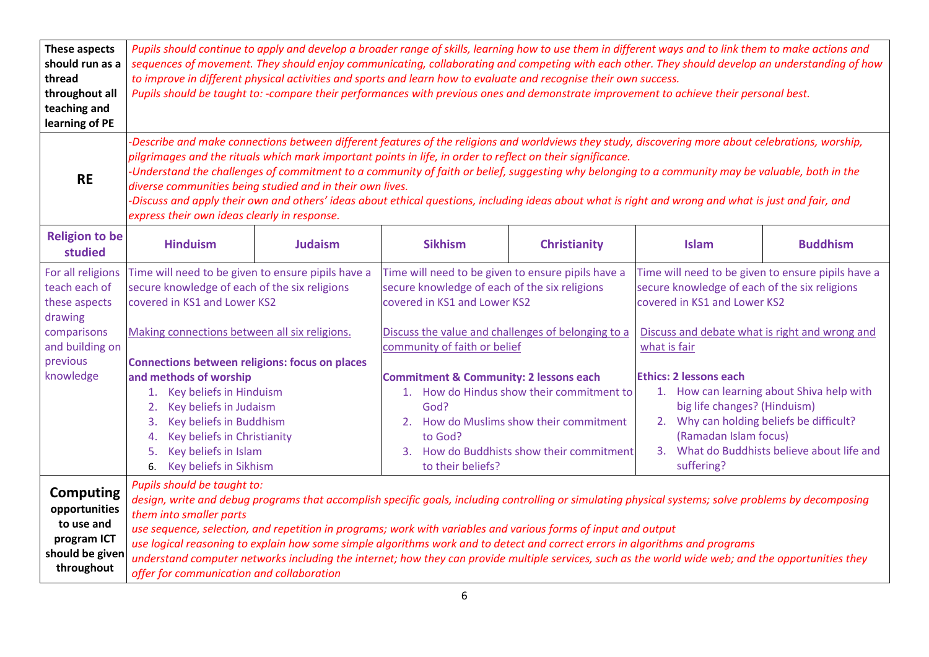| These aspects<br>should run as a<br>thread<br>throughout all<br>teaching and<br>learning of PE  | Pupils should continue to apply and develop a broader range of skills, learning how to use them in different ways and to link them to make actions and<br>sequences of movement. They should enjoy communicating, collaborating and competing with each other. They should develop an understanding of how<br>to improve in different physical activities and sports and learn how to evaluate and recognise their own success.<br>Pupils should be taught to: -compare their performances with previous ones and demonstrate improvement to achieve their personal best.                                                                                                                   |                |                                                                                                                                                                                                                                |                     |                                                                                                                                                                                                                                              |                 |  |
|-------------------------------------------------------------------------------------------------|---------------------------------------------------------------------------------------------------------------------------------------------------------------------------------------------------------------------------------------------------------------------------------------------------------------------------------------------------------------------------------------------------------------------------------------------------------------------------------------------------------------------------------------------------------------------------------------------------------------------------------------------------------------------------------------------|----------------|--------------------------------------------------------------------------------------------------------------------------------------------------------------------------------------------------------------------------------|---------------------|----------------------------------------------------------------------------------------------------------------------------------------------------------------------------------------------------------------------------------------------|-----------------|--|
| <b>RE</b>                                                                                       | -Describe and make connections between different features of the religions and worldviews they study, discovering more about celebrations, worship,<br>pilgrimages and the rituals which mark important points in life, in order to reflect on their significance.<br>-Understand the challenges of commitment to a community of faith or belief, suggesting why belonging to a community may be valuable, both in the<br>diverse communities being studied and in their own lives.<br>-Discuss and apply their own and others' ideas about ethical questions, including ideas about what is right and wrong and what is just and fair, and<br>express their own ideas clearly in response. |                |                                                                                                                                                                                                                                |                     |                                                                                                                                                                                                                                              |                 |  |
| <b>Religion to be</b><br>studied                                                                | <b>Hinduism</b>                                                                                                                                                                                                                                                                                                                                                                                                                                                                                                                                                                                                                                                                             | <b>Judaism</b> | <b>Sikhism</b>                                                                                                                                                                                                                 | <b>Christianity</b> | <b>Islam</b>                                                                                                                                                                                                                                 | <b>Buddhism</b> |  |
| For all religions<br>teach each of<br>these aspects<br>drawing                                  | Time will need to be given to ensure pipils have a<br>secure knowledge of each of the six religions<br>covered in KS1 and Lower KS2                                                                                                                                                                                                                                                                                                                                                                                                                                                                                                                                                         |                | Time will need to be given to ensure pipils have a<br>secure knowledge of each of the six religions<br>covered in KS1 and Lower KS2                                                                                            |                     | Time will need to be given to ensure pipils have a<br>secure knowledge of each of the six religions<br>covered in KS1 and Lower KS2                                                                                                          |                 |  |
| comparisons<br>and building on<br>previous                                                      | Making connections between all six religions.<br><b>Connections between religions: focus on places</b>                                                                                                                                                                                                                                                                                                                                                                                                                                                                                                                                                                                      |                | Discuss the value and challenges of belonging to a<br>community of faith or belief                                                                                                                                             |                     | Discuss and debate what is right and wrong and<br>what is fair                                                                                                                                                                               |                 |  |
| knowledge                                                                                       | and methods of worship<br>1. Key beliefs in Hinduism<br>Key beliefs in Judaism<br>2.<br>Key beliefs in Buddhism<br>3.<br>Key beliefs in Christianity<br>4.<br>Key beliefs in Islam<br>5.<br>6. Key beliefs in Sikhism                                                                                                                                                                                                                                                                                                                                                                                                                                                                       |                | <b>Commitment &amp; Community: 2 lessons each</b><br>1. How do Hindus show their commitment to<br>God?<br>2. How do Muslims show their commitment<br>to God?<br>3. How do Buddhists show their commitment<br>to their beliefs? |                     | <b>Ethics: 2 lessons each</b><br>1. How can learning about Shiva help with<br>big life changes? (Hinduism)<br>2. Why can holding beliefs be difficult?<br>(Ramadan Islam focus)<br>3. What do Buddhists believe about life and<br>suffering? |                 |  |
| <b>Computing</b><br>opportunities<br>to use and<br>program ICT<br>should be giver<br>throughout | Pupils should be taught to:<br>design, write and debug programs that accomplish specific goals, including controlling or simulating physical systems; solve problems by decomposing<br>them into smaller parts<br>use sequence, selection, and repetition in programs; work with variables and various forms of input and output<br>use logical reasoning to explain how some simple algorithms work and to detect and correct errors in algorithms and programs<br>understand computer networks including the internet; how they can provide multiple services, such as the world wide web; and the opportunities they<br>offer for communication and collaboration                        |                |                                                                                                                                                                                                                                |                     |                                                                                                                                                                                                                                              |                 |  |